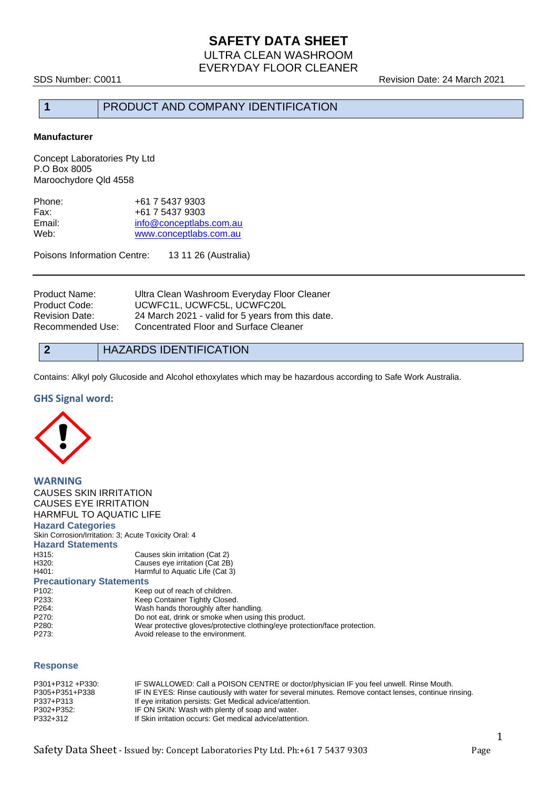SDS Number: C0011 Revision Date: 24 March 2021

# **1** PRODUCT AND COMPANY IDENTIFICATION

#### **Manufacturer**

Concept Laboratories Pty Ltd P.O Box 8005 Maroochydore Qld 4558

| Phone: | +61 7 5437 9303         |
|--------|-------------------------|
| Fax:   | +61 7 5437 9303         |
| Email: | info@conceptlabs.com.au |
| Web:   | www.conceptlabs.com.au  |
|        |                         |

Poisons Information Centre: 13 11 26 (Australia)

| Product Name:    | Ultra Clean Washroom Everyday Floor Cleaner       |
|------------------|---------------------------------------------------|
| Product Code:    | UCWFC1L, UCWFC5L, UCWFC20L                        |
| Revision Date:   | 24 March 2021 - valid for 5 years from this date. |
| Recommended Use: | Concentrated Floor and Surface Cleaner            |

**2** HAZARDS IDENTIFICATION

Contains: Alkyl poly Glucoside and Alcohol ethoxylates which may be hazardous according to Safe Work Australia.

#### **GHS Signal word:**



**WARNING** CAUSES SKIN IRRITATION CAUSES EYE IRRITATION HARMFUL TO AQUATIC LIFE **Hazard Categories** Skin Corrosion/Irritation: 3; Acute Toxicity Oral: 4 **Hazard Statements** H315: Causes skin irritation (Cat 2)<br>H320: Causes eye irritation (Cat 2B H320: Causes eye irritation (Cat 2B)<br>H401: Harmful to Aquatic Life (Cat 3 Harmful to Aquatic Life (Cat 3) **Precautionary Statements** P102: Keep out of reach of children.<br>
P233: Keep Container Tightly Close Keep Container Tightly Closed. P264: P264: Wash hands thoroughly after handling. P270: Do not eat, drink or smoke when using this product.<br>P280: Wear protective gloves/protective clothing/eye prote P280: Wear protective gloves/protective clothing/eye protection/face protection.<br>P273: Avoid release to the environment. Avoid release to the environment.

#### **Response**

| P301+P312 +P330: | IF SWALLOWED: Call a POISON CENTRE or doctor/physician IF you feel unwell. Rinse Mouth.               |
|------------------|-------------------------------------------------------------------------------------------------------|
| P305+P351+P338   | IF IN EYES: Rinse cautiously with water for several minutes. Remove contact lenses, continue rinsing. |
| P337+P313        | If eye irritation persists: Get Medical advice/attention.                                             |
| P302+P352:       | IF ON SKIN: Wash with plenty of soap and water.                                                       |
| P332+312         | If Skin irritation occurs: Get medical advice/attention.                                              |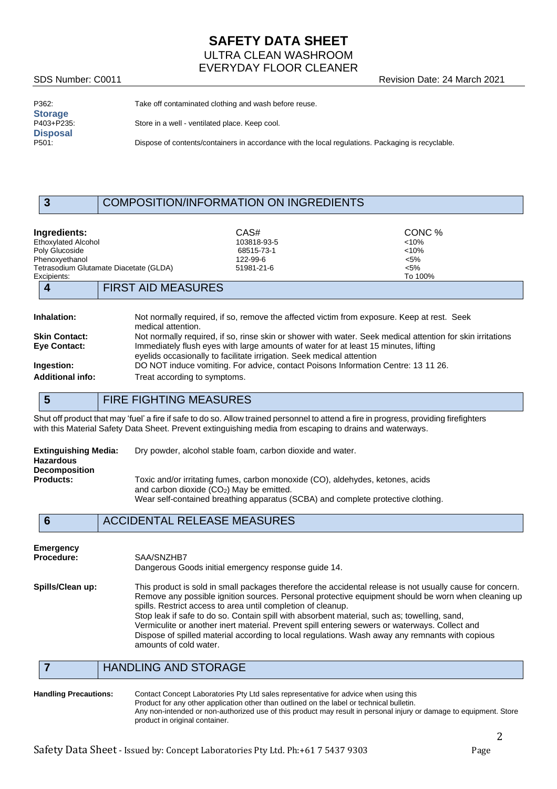# **SAFETY DATA SHEET** ULTRA CLEAN WASHROOM EVERYDAY FLOOR CLEANER

SDS Number: C0011 Revision Date: 24 March 2021

| P362:           |  |
|-----------------|--|
| <b>Storage</b>  |  |
| P403+P235:      |  |
| <b>Disposal</b> |  |
| P501:           |  |

Take off contaminated clothing and wash before reuse.

Store in a well - ventilated place. Keep cool.

Dispose of contents/containers in accordance with the local regulations. Packaging is recyclable.

## **3** COMPOSITION/INFORMATION ON INGREDIENTS

|  | Inaredients: |  |  |
|--|--------------|--|--|
|  |              |  |  |

**Ingredients:** CAS# CONC % Ethoxylated Alcohol 103818-93-5 <10% Poly Glucoside 68515-73-1 <10% Phenoxyethanol <5%<br>
Tetrasodium Glutamate Diacetate (GLDA)  $122-99-6$ <br>
51981-21-6 <5% Tetrasodium Glutamate Diacetate (GLDA) 51981-21-6 <5% 51981-21-6 <5% To 100% Excipients: To 100% **4** FIRST AID MEASURES

| <b>Inhalation:</b>      | Not normally required, if so, remove the affected victim from exposure. Keep at rest. Seek<br>medical attention.                                             |
|-------------------------|--------------------------------------------------------------------------------------------------------------------------------------------------------------|
| <b>Skin Contact:</b>    | Not normally required, if so, rinse skin or shower with water. Seek medical attention for skin irritations                                                   |
| Eye Contact:            | Immediately flush eyes with large amounts of water for at least 15 minutes, lifting<br>eyelids occasionally to facilitate irrigation. Seek medical attention |
| Ingestion:              | DO NOT induce vomiting. For advice, contact Poisons Information Centre: 13 11 26.                                                                            |
| <b>Additional info:</b> | Treat according to symptoms.                                                                                                                                 |

**5** FIRE FIGHTING MEASURES

Shut off product that may 'fuel' a fire if safe to do so. Allow trained personnel to attend a fire in progress, providing firefighters with this Material Safety Data Sheet. Prevent extinguishing media from escaping to drains and waterways.

| Extinguishing Media:<br>Hazardous | Dry powder, alcohol stable foam, carbon dioxide and water.                                                                                                                                                       |
|-----------------------------------|------------------------------------------------------------------------------------------------------------------------------------------------------------------------------------------------------------------|
| <b>Decomposition</b>              |                                                                                                                                                                                                                  |
| <b>Products:</b>                  | Toxic and/or irritating fumes, carbon monoxide (CO), aldehydes, ketones, acids<br>and carbon dioxide $(CO2)$ May be emitted.<br>Wear self-contained breathing apparatus (SCBA) and complete protective clothing. |

# **6** ACCIDENTAL RELEASE MEASURES

| Emergency        | SAA/SNZHB7                                                                                                                                                                                                                                                                                                                                                                                                                                                                                                                                                                                                      |
|------------------|-----------------------------------------------------------------------------------------------------------------------------------------------------------------------------------------------------------------------------------------------------------------------------------------------------------------------------------------------------------------------------------------------------------------------------------------------------------------------------------------------------------------------------------------------------------------------------------------------------------------|
| Procedure:       | Dangerous Goods initial emergency response quide 14.                                                                                                                                                                                                                                                                                                                                                                                                                                                                                                                                                            |
| Spills/Clean up: | This product is sold in small packages therefore the accidental release is not usually cause for concern.<br>Remove any possible ignition sources. Personal protective equipment should be worn when cleaning up<br>spills. Restrict access to area until completion of cleanup.<br>Stop leak if safe to do so. Contain spill with absorbent material, such as; towelling, sand,<br>Vermiculite or another inert material. Prevent spill entering sewers or waterways. Collect and<br>Dispose of spilled material according to local regulations. Wash away any remnants with copious<br>amounts of cold water. |

# **7** HANDLING AND STORAGE

**Handling Precautions:** Contact Concept Laboratories Pty Ltd sales representative for advice when using this Product for any other application other than outlined on the label or technical bulletin. Any non-intended or non-authorized use of this product may result in personal injury or damage to equipment. Store product in original container.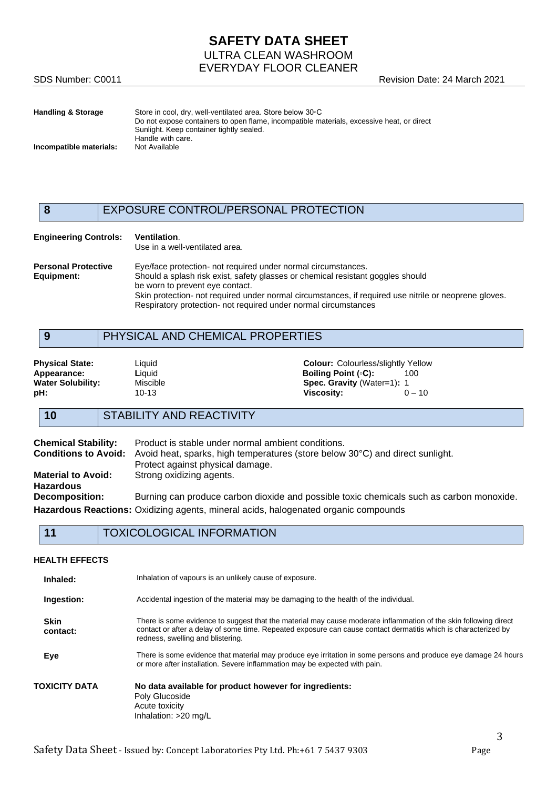# **SAFETY DATA SHEET** ULTRA CLEAN WASHROOM EVERYDAY FLOOR CLEANER

SDS Number: C0011 **SDS Number: C0011** Revision Date: 24 March 2021

| Handling & Storage      | Store in cool, dry, well-ventilated area. Store below 30 °C                               |
|-------------------------|-------------------------------------------------------------------------------------------|
|                         | Do not expose containers to open flame, incompatible materials, excessive heat, or direct |
|                         | Sunlight. Keep container tightly sealed.                                                  |
|                         | Handle with care.                                                                         |
| Incompatible materials: | Not Available                                                                             |
|                         |                                                                                           |

# **8** EXPOSURE CONTROL/PERSONAL PROTECTION

| <b>Engineering Controls:</b>             | <b>Ventilation.</b><br>Use in a well-ventilated area.                                                                                                                                                                                                                                                                                                           |
|------------------------------------------|-----------------------------------------------------------------------------------------------------------------------------------------------------------------------------------------------------------------------------------------------------------------------------------------------------------------------------------------------------------------|
| <b>Personal Protective</b><br>Equipment: | Eye/face protection- not required under normal circumstances.<br>Should a splash risk exist, safety glasses or chemical resistant goggles should<br>be worn to prevent eye contact.<br>Skin protection- not required under normal circumstances, if required use nitrile or neoprene gloves.<br>Respiratory protection- not required under normal circumstances |

# **9** PHYSICAL AND CHEMICAL PROPERTIES

**Appearance: Liquid <b>Liquid Boiling Point (◦C):** 1000 **Mater Solubility:** 1000 Miscible **Boiling Point** (◦C): 1000 Miscible **Boiling Point** (◦C):

**Physical State:** Liquid Liquid **Colour:** Colour: Colourless/slightly Yellow **Appearance:** Liquid Liquid **Colour:** Colour: Colour: Colour: Colour: 100 Water Solubility: Miscible **Misciple 10-13**<br> **pH:** 10-13 10-13 **Wiscosity:** 0-10 **pH:** 10-13 **Viscosity:** 0 – 10

# **10** STABILITY AND REACTIVITY

| <b>Chemical Stability:</b><br><b>Conditions to Avoid:</b> | Product is stable under normal ambient conditions.<br>Avoid heat, sparks, high temperatures (store below 30°C) and direct sunlight. |
|-----------------------------------------------------------|-------------------------------------------------------------------------------------------------------------------------------------|
|                                                           | Protect against physical damage.                                                                                                    |
| <b>Material to Avoid:</b>                                 | Strong oxidizing agents.                                                                                                            |
| <b>Hazardous</b>                                          |                                                                                                                                     |
| <b>Decomposition:</b>                                     | Burning can produce carbon dioxide and possible toxic chemicals such as carbon monoxide.                                            |
|                                                           | Hazardous Reactions: Oxidizing agents, mineral acids, halogenated organic compounds                                                 |

# **11** TOXICOLOGICAL INFORMATION

#### **HEALTH EFFECTS**

| Inhaled:                | Inhalation of vapours is an unlikely cause of exposure.                                                                                                                                                                                                                  |
|-------------------------|--------------------------------------------------------------------------------------------------------------------------------------------------------------------------------------------------------------------------------------------------------------------------|
| Ingestion:              | Accidental ingestion of the material may be damaging to the health of the individual.                                                                                                                                                                                    |
| <b>Skin</b><br>contact: | There is some evidence to suggest that the material may cause moderate inflammation of the skin following direct<br>contact or after a delay of some time. Repeated exposure can cause contact dermatitis which is characterized by<br>redness, swelling and blistering. |
| Eye                     | There is some evidence that material may produce eye irritation in some persons and produce eye damage 24 hours<br>or more after installation. Severe inflammation may be expected with pain.                                                                            |
| TOXICITY DATA           | No data available for product however for ingredients:<br>Poly Glucoside<br>Acute toxicity<br>Inhalation: >20 mg/L                                                                                                                                                       |